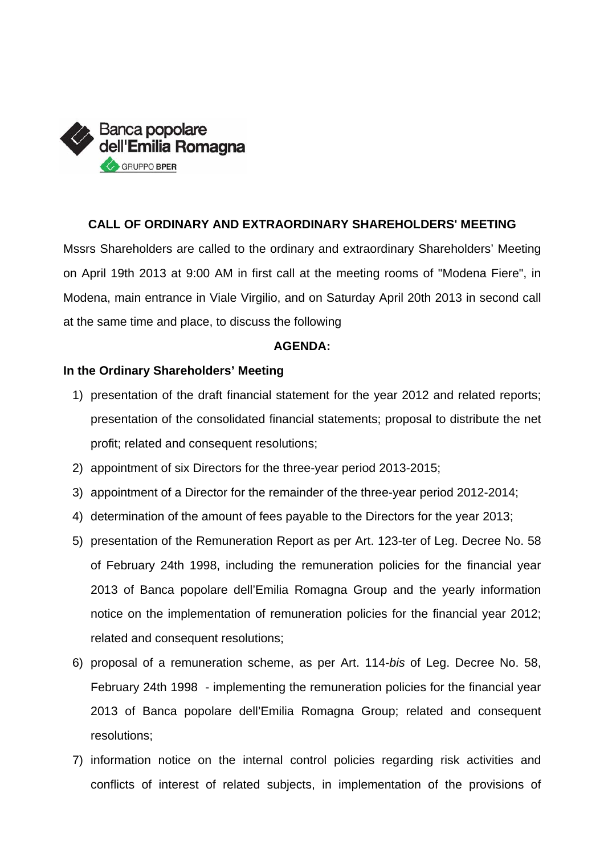

# **CALL OF ORDINARY AND EXTRAORDINARY SHAREHOLDERS' MEETING**

Mssrs Shareholders are called to the ordinary and extraordinary Shareholders' Meeting on April 19th 2013 at 9:00 AM in first call at the meeting rooms of "Modena Fiere", in Modena, main entrance in Viale Virgilio, and on Saturday April 20th 2013 in second call at the same time and place, to discuss the following

## **AGENDA:**

# **In the Ordinary Shareholders' Meeting**

- 1) presentation of the draft financial statement for the year 2012 and related reports; presentation of the consolidated financial statements; proposal to distribute the net profit; related and consequent resolutions;
- 2) appointment of six Directors for the three-year period 2013-2015;
- 3) appointment of a Director for the remainder of the three-year period 2012-2014;
- 4) determination of the amount of fees payable to the Directors for the year 2013;
- 5) presentation of the Remuneration Report as per Art. 123-ter of Leg. Decree No. 58 of February 24th 1998, including the remuneration policies for the financial year 2013 of Banca popolare dell'Emilia Romagna Group and the yearly information notice on the implementation of remuneration policies for the financial year 2012; related and consequent resolutions;
- 6) proposal of a remuneration scheme, as per Art. 114-*bis* of Leg. Decree No. 58, February 24th 1998 - implementing the remuneration policies for the financial year 2013 of Banca popolare dell'Emilia Romagna Group; related and consequent resolutions;
- 7) information notice on the internal control policies regarding risk activities and conflicts of interest of related subjects, in implementation of the provisions of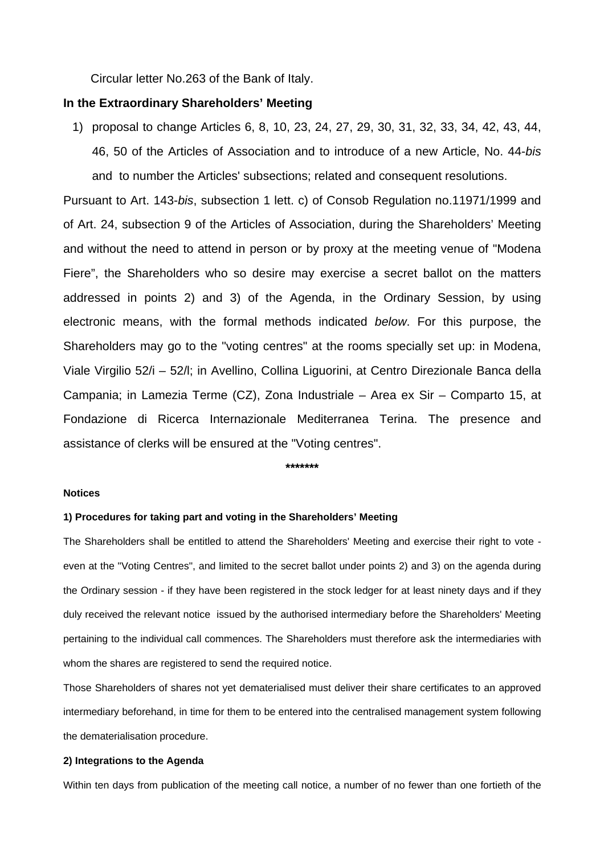Circular letter No.263 of the Bank of Italy.

## **In the Extraordinary Shareholders' Meeting**

1) proposal to change Articles 6, 8, 10, 23, 24, 27, 29, 30, 31, 32, 33, 34, 42, 43, 44, 46, 50 of the Articles of Association and to introduce of a new Article, No. 44-*bis*  and to number the Articles' subsections; related and consequent resolutions.

Pursuant to Art. 143-*bis*, subsection 1 lett. c) of Consob Regulation no.11971/1999 and of Art. 24, subsection 9 of the Articles of Association, during the Shareholders' Meeting and without the need to attend in person or by proxy at the meeting venue of "Modena Fiere", the Shareholders who so desire may exercise a secret ballot on the matters addressed in points 2) and 3) of the Agenda, in the Ordinary Session, by using electronic means, with the formal methods indicated *below*. For this purpose, the Shareholders may go to the "voting centres" at the rooms specially set up: in Modena, Viale Virgilio 52/i – 52/l; in Avellino, Collina Liguorini, at Centro Direzionale Banca della Campania; in Lamezia Terme (CZ), Zona Industriale – Area ex Sir – Comparto 15, at Fondazione di Ricerca Internazionale Mediterranea Terina. The presence and assistance of clerks will be ensured at the "Voting centres".

**\*\*\*\*\*\*\*** 

## **Notices**

### **1) Procedures for taking part and voting in the Shareholders' Meeting**

The Shareholders shall be entitled to attend the Shareholders' Meeting and exercise their right to vote even at the "Voting Centres", and limited to the secret ballot under points 2) and 3) on the agenda during the Ordinary session - if they have been registered in the stock ledger for at least ninety days and if they duly received the relevant notice issued by the authorised intermediary before the Shareholders' Meeting pertaining to the individual call commences. The Shareholders must therefore ask the intermediaries with whom the shares are registered to send the required notice.

Those Shareholders of shares not yet dematerialised must deliver their share certificates to an approved intermediary beforehand, in time for them to be entered into the centralised management system following the dematerialisation procedure.

## **2) Integrations to the Agenda**

Within ten days from publication of the meeting call notice, a number of no fewer than one fortieth of the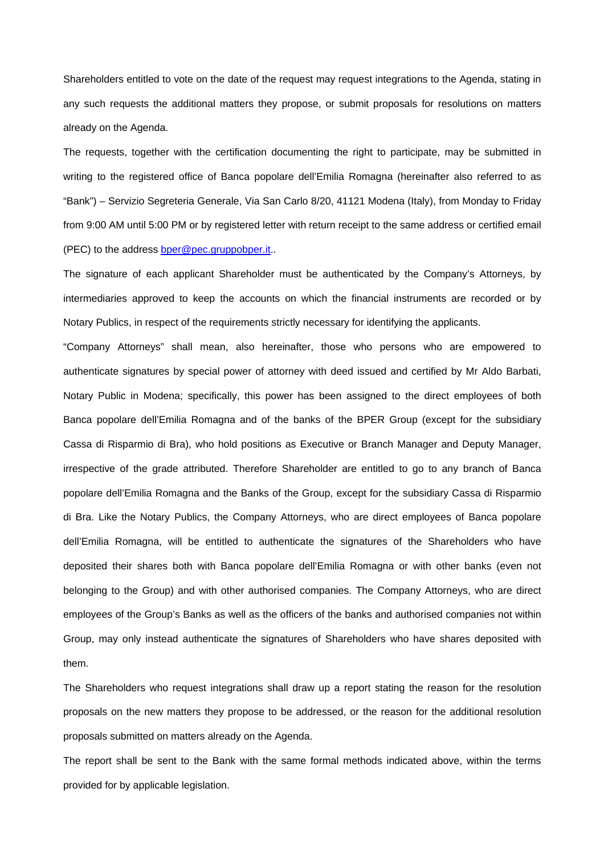Shareholders entitled to vote on the date of the request may request integrations to the Agenda, stating in any such requests the additional matters they propose, or submit proposals for resolutions on matters already on the Agenda.

The requests, together with the certification documenting the right to participate, may be submitted in writing to the registered office of Banca popolare dell'Emilia Romagna (hereinafter also referred to as "Bank") – Servizio Segreteria Generale, Via San Carlo 8/20, 41121 Modena (Italy), from Monday to Friday from 9:00 AM until 5:00 PM or by registered letter with return receipt to the same address or certified email (PEC) to the address bper@pec.gruppobper.it..

The signature of each applicant Shareholder must be authenticated by the Company's Attorneys, by intermediaries approved to keep the accounts on which the financial instruments are recorded or by Notary Publics, in respect of the requirements strictly necessary for identifying the applicants.

"Company Attorneys" shall mean, also hereinafter, those who persons who are empowered to authenticate signatures by special power of attorney with deed issued and certified by Mr Aldo Barbati, Notary Public in Modena; specifically, this power has been assigned to the direct employees of both Banca popolare dell'Emilia Romagna and of the banks of the BPER Group (except for the subsidiary Cassa di Risparmio di Bra), who hold positions as Executive or Branch Manager and Deputy Manager, irrespective of the grade attributed. Therefore Shareholder are entitled to go to any branch of Banca popolare dell'Emilia Romagna and the Banks of the Group, except for the subsidiary Cassa di Risparmio di Bra. Like the Notary Publics, the Company Attorneys, who are direct employees of Banca popolare dell'Emilia Romagna, will be entitled to authenticate the signatures of the Shareholders who have deposited their shares both with Banca popolare dell'Emilia Romagna or with other banks (even not belonging to the Group) and with other authorised companies. The Company Attorneys, who are direct employees of the Group's Banks as well as the officers of the banks and authorised companies not within Group, may only instead authenticate the signatures of Shareholders who have shares deposited with them.

The Shareholders who request integrations shall draw up a report stating the reason for the resolution proposals on the new matters they propose to be addressed, or the reason for the additional resolution proposals submitted on matters already on the Agenda.

The report shall be sent to the Bank with the same formal methods indicated above, within the terms provided for by applicable legislation.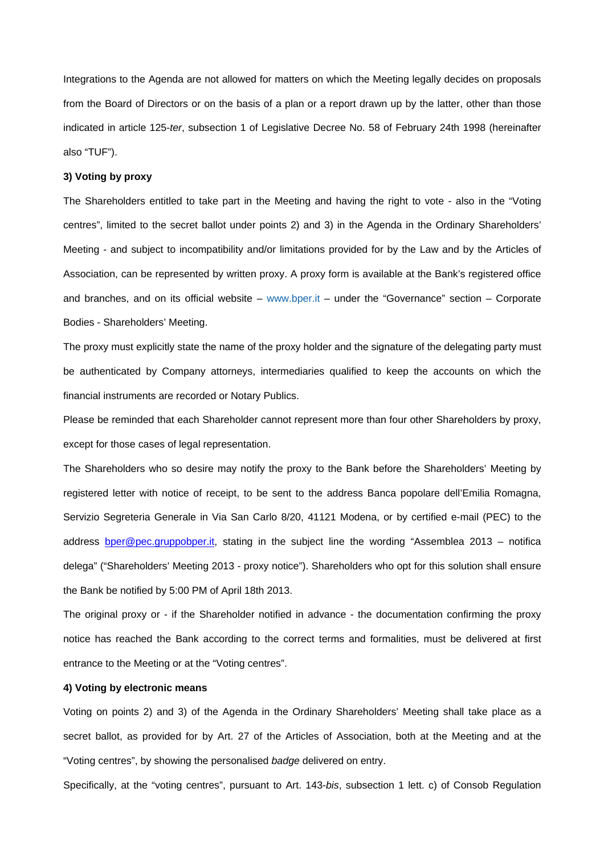Integrations to the Agenda are not allowed for matters on which the Meeting legally decides on proposals from the Board of Directors or on the basis of a plan or a report drawn up by the latter, other than those indicated in article 125-*ter*, subsection 1 of Legislative Decree No. 58 of February 24th 1998 (hereinafter also "TUF").

#### **3) Voting by proxy**

The Shareholders entitled to take part in the Meeting and having the right to vote - also in the "Voting centres", limited to the secret ballot under points 2) and 3) in the Agenda in the Ordinary Shareholders' Meeting - and subject to incompatibility and/or limitations provided for by the Law and by the Articles of Association, can be represented by written proxy. A proxy form is available at the Bank's registered office and branches, and on its official website – www.bper.it – under the "Governance" section – Corporate Bodies - Shareholders' Meeting.

The proxy must explicitly state the name of the proxy holder and the signature of the delegating party must be authenticated by Company attorneys, intermediaries qualified to keep the accounts on which the financial instruments are recorded or Notary Publics.

Please be reminded that each Shareholder cannot represent more than four other Shareholders by proxy, except for those cases of legal representation.

The Shareholders who so desire may notify the proxy to the Bank before the Shareholders' Meeting by registered letter with notice of receipt, to be sent to the address Banca popolare dell'Emilia Romagna, Servizio Segreteria Generale in Via San Carlo 8/20, 41121 Modena, or by certified e-mail (PEC) to the address bper@pec.gruppobper.it, stating in the subject line the wording "Assemblea 2013 – notifica delega" ("Shareholders' Meeting 2013 - proxy notice"). Shareholders who opt for this solution shall ensure the Bank be notified by 5:00 PM of April 18th 2013.

The original proxy or - if the Shareholder notified in advance - the documentation confirming the proxy notice has reached the Bank according to the correct terms and formalities, must be delivered at first entrance to the Meeting or at the "Voting centres".

#### **4) Voting by electronic means**

Voting on points 2) and 3) of the Agenda in the Ordinary Shareholders' Meeting shall take place as a secret ballot, as provided for by Art. 27 of the Articles of Association, both at the Meeting and at the "Voting centres", by showing the personalised *badge* delivered on entry.

Specifically, at the "voting centres", pursuant to Art. 143-*bis*, subsection 1 lett. c) of Consob Regulation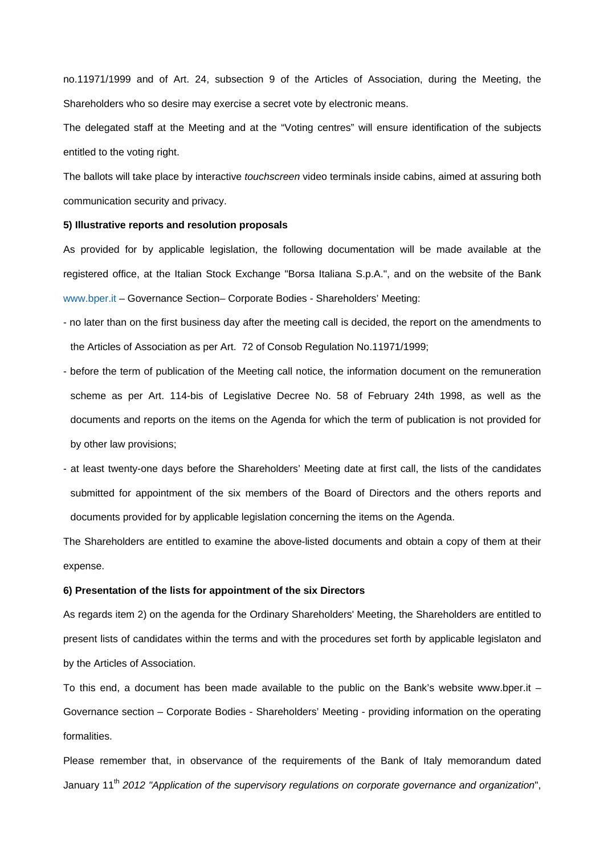no.11971/1999 and of Art. 24, subsection 9 of the Articles of Association, during the Meeting, the Shareholders who so desire may exercise a secret vote by electronic means.

The delegated staff at the Meeting and at the "Voting centres" will ensure identification of the subjects entitled to the voting right.

The ballots will take place by interactive *touchscreen* video terminals inside cabins, aimed at assuring both communication security and privacy.

#### **5) Illustrative reports and resolution proposals**

As provided for by applicable legislation, the following documentation will be made available at the registered office, at the Italian Stock Exchange "Borsa Italiana S.p.A.", and on the website of the Bank www.bper.it – Governance Section– Corporate Bodies - Shareholders' Meeting:

- no later than on the first business day after the meeting call is decided, the report on the amendments to the Articles of Association as per Art. 72 of Consob Regulation No.11971/1999;
- before the term of publication of the Meeting call notice, the information document on the remuneration scheme as per Art. 114-bis of Legislative Decree No. 58 of February 24th 1998, as well as the documents and reports on the items on the Agenda for which the term of publication is not provided for by other law provisions;
- at least twenty-one days before the Shareholders' Meeting date at first call, the lists of the candidates submitted for appointment of the six members of the Board of Directors and the others reports and documents provided for by applicable legislation concerning the items on the Agenda.

The Shareholders are entitled to examine the above-listed documents and obtain a copy of them at their expense.

#### **6) Presentation of the lists for appointment of the six Directors**

As regards item 2) on the agenda for the Ordinary Shareholders' Meeting, the Shareholders are entitled to present lists of candidates within the terms and with the procedures set forth by applicable legislaton and by the Articles of Association.

To this end, a document has been made available to the public on the Bank's website www.bper.it – Governance section – Corporate Bodies - Shareholders' Meeting - providing information on the operating formalities.

Please remember that, in observance of the requirements of the Bank of Italy memorandum dated January 11<sup>th</sup> 2012 *"Application of the supervisory regulations on corporate governance and organization",*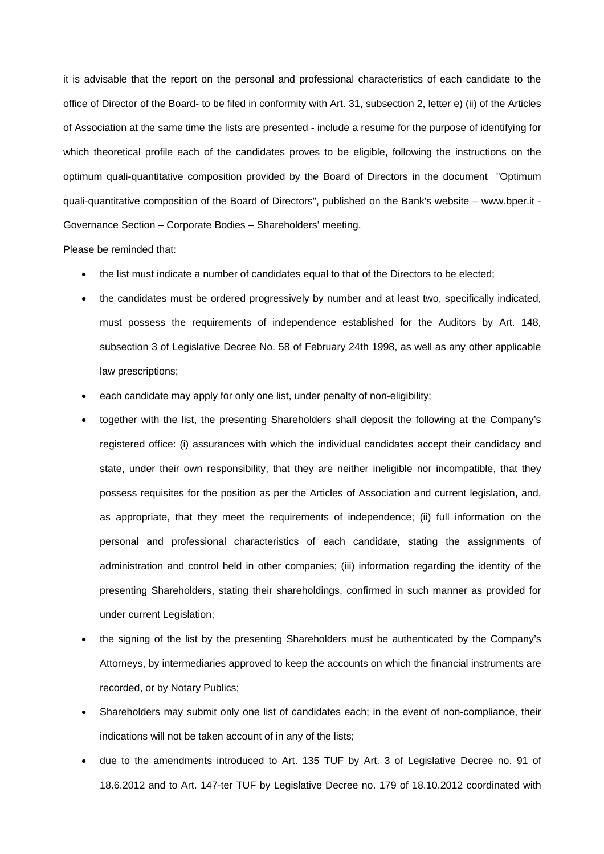it is advisable that the report on the personal and professional characteristics of each candidate to the office of Director of the Board- to be filed in conformity with Art. 31, subsection 2, letter e) (ii) of the Articles of Association at the same time the lists are presented - include a resume for the purpose of identifying for which theoretical profile each of the candidates proves to be eligible, following the instructions on the optimum quali-quantitative composition provided by the Board of Directors in the document "Optimum quali-quantitative composition of the Board of Directors", published on the Bank's website – www.bper.it - Governance Section – Corporate Bodies – Shareholders' meeting.

Please be reminded that:

- the list must indicate a number of candidates equal to that of the Directors to be elected;
- the candidates must be ordered progressively by number and at least two, specifically indicated, must possess the requirements of independence established for the Auditors by Art. 148, subsection 3 of Legislative Decree No. 58 of February 24th 1998, as well as any other applicable law prescriptions;
- each candidate may apply for only one list, under penalty of non-eligibility;
- together with the list, the presenting Shareholders shall deposit the following at the Company's registered office: (i) assurances with which the individual candidates accept their candidacy and state, under their own responsibility, that they are neither ineligible nor incompatible, that they possess requisites for the position as per the Articles of Association and current legislation, and, as appropriate, that they meet the requirements of independence; (ii) full information on the personal and professional characteristics of each candidate, stating the assignments of administration and control held in other companies; (iii) information regarding the identity of the presenting Shareholders, stating their shareholdings, confirmed in such manner as provided for under current Legislation;
- the signing of the list by the presenting Shareholders must be authenticated by the Company's Attorneys, by intermediaries approved to keep the accounts on which the financial instruments are recorded, or by Notary Publics;
- Shareholders may submit only one list of candidates each; in the event of non-compliance, their indications will not be taken account of in any of the lists;
- due to the amendments introduced to Art. 135 TUF by Art. 3 of Legislative Decree no. 91 of 18.6.2012 and to Art. 147-ter TUF by Legislative Decree no. 179 of 18.10.2012 coordinated with